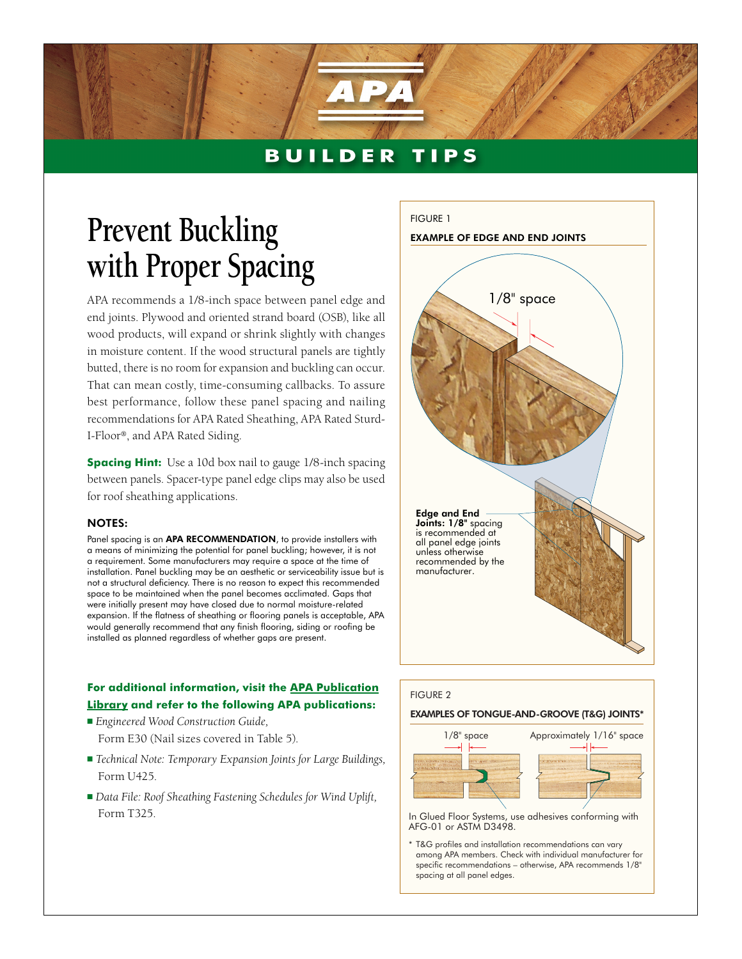## **BUILDER TIPS**

## **Prevent Buckling with Proper Spacing**

APA recommends a 1/8-inch space between panel edge and end joints. Plywood and oriented strand board (OSB), like all wood products, will expand or shrink slightly with changes in moisture content. If the wood structural panels are tightly butted, there is no room for expansion and buckling can occur. That can mean costly, time-consuming callbacks. To assure best performance, follow these panel spacing and nailing recommendations for APA Rated Sheathing, APA Rated Sturd-I-Floor®, and APA Rated Siding.

**Spacing Hint:** Use a 10d box nail to gauge 1/8-inch spacing between panels. Spacer-type panel edge clips may also be used for roof sheathing applications.

## NOTES:

Panel spacing is an **APA RECOMMENDATION**, to provide installers with a means of minimizing the potential for panel buckling; however, it is not a requirement. Some manufacturers may require a space at the time of installation. Panel buckling may be an aesthetic or serviceability issue but is not a structural deficiency. There is no reason to expect this recommended space to be maintained when the panel becomes acclimated. Gaps that were initially present may have closed due to normal moisture-related expansion. If the flatness of sheathing or flooring panels is acceptable, APA would generally recommend that any finish flooring, siding or roofing be installed as planned regardless of whether gaps are present.

## **For additional information, visit the [APA Publication](http://www.apawood.org/level_b.cfm?content=pub_main) [Library](http://www.apawood.org/level_b.cfm?content=pub_main) and refer to the following APA publications:**

- *Engineered Wood Construction Guide*, Form E30 (Nail sizes covered in Table 5).
- *Technical Note: Temporary Expansion Joints for Large Buildings,* Form U425.
- *Data File: Roof Sheathing Fastening Schedules for Wind Uplift,* Form T325.





In Glued Floor Systems, use adhesives conforming with AFG-01 or ASTM D3498.

T&G profiles and installation recommendations can vary among APA members. Check with individual manufacturer for specific recommendations – otherwise, APA recommends 1/8" spacing at all panel edges.